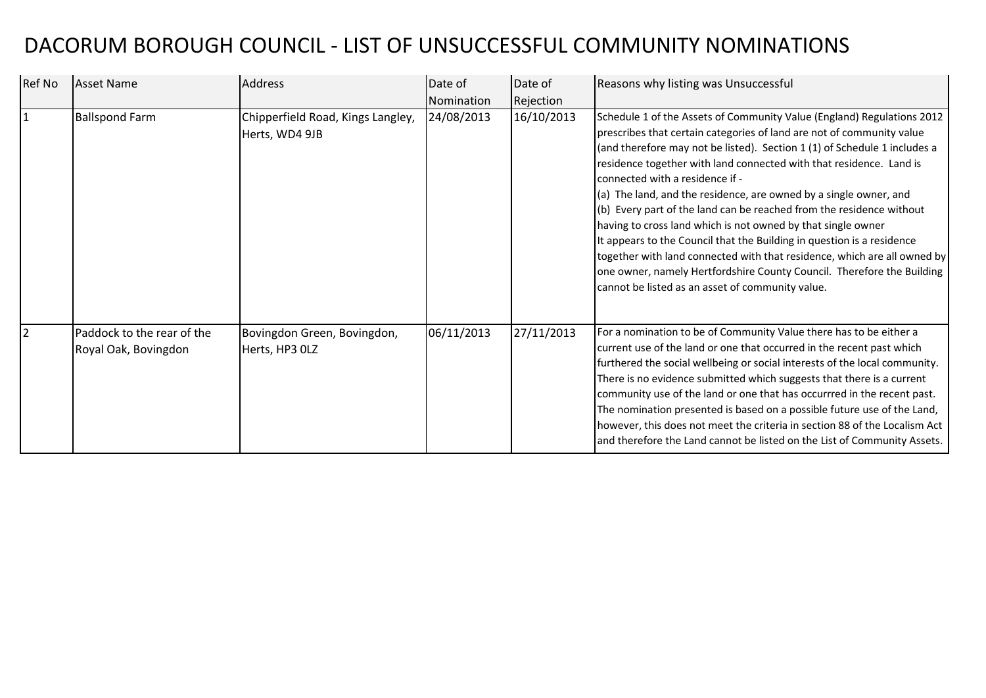## DACORUM BOROUGH COUNCIL - LIST OF UNSUCCESSFUL COMMUNITY NOMINATIONS

| Ref No         | Asset Name                                         | <b>Address</b>                                      | Date of<br>Nomination | Date of<br>Rejection | Reasons why listing was Unsuccessful                                                                                                                                                                                                                                                                                                                                                                                                                                                                                                                                                                                                                                                                                                                                                                                                    |
|----------------|----------------------------------------------------|-----------------------------------------------------|-----------------------|----------------------|-----------------------------------------------------------------------------------------------------------------------------------------------------------------------------------------------------------------------------------------------------------------------------------------------------------------------------------------------------------------------------------------------------------------------------------------------------------------------------------------------------------------------------------------------------------------------------------------------------------------------------------------------------------------------------------------------------------------------------------------------------------------------------------------------------------------------------------------|
| $\overline{1}$ | <b>Ballspond Farm</b>                              | Chipperfield Road, Kings Langley,<br>Herts, WD4 9JB | 24/08/2013            | 16/10/2013           | Schedule 1 of the Assets of Community Value (England) Regulations 2012<br>prescribes that certain categories of land are not of community value<br>(and therefore may not be listed). Section 1 (1) of Schedule 1 includes a<br>residence together with land connected with that residence. Land is<br>connected with a residence if -<br>(a) The land, and the residence, are owned by a single owner, and<br>(b) Every part of the land can be reached from the residence without<br>having to cross land which is not owned by that single owner<br>It appears to the Council that the Building in question is a residence<br>together with land connected with that residence, which are all owned by<br>one owner, namely Hertfordshire County Council. Therefore the Building<br>cannot be listed as an asset of community value. |
| $\overline{2}$ | Paddock to the rear of the<br>Royal Oak, Bovingdon | Bovingdon Green, Bovingdon,<br>Herts, HP3 OLZ       | 06/11/2013            | 27/11/2013           | For a nomination to be of Community Value there has to be either a<br>current use of the land or one that occurred in the recent past which<br>furthered the social wellbeing or social interests of the local community.<br>There is no evidence submitted which suggests that there is a current<br>community use of the land or one that has occurrred in the recent past.<br>The nomination presented is based on a possible future use of the Land,<br>however, this does not meet the criteria in section 88 of the Localism Act<br>and therefore the Land cannot be listed on the List of Community Assets.                                                                                                                                                                                                                      |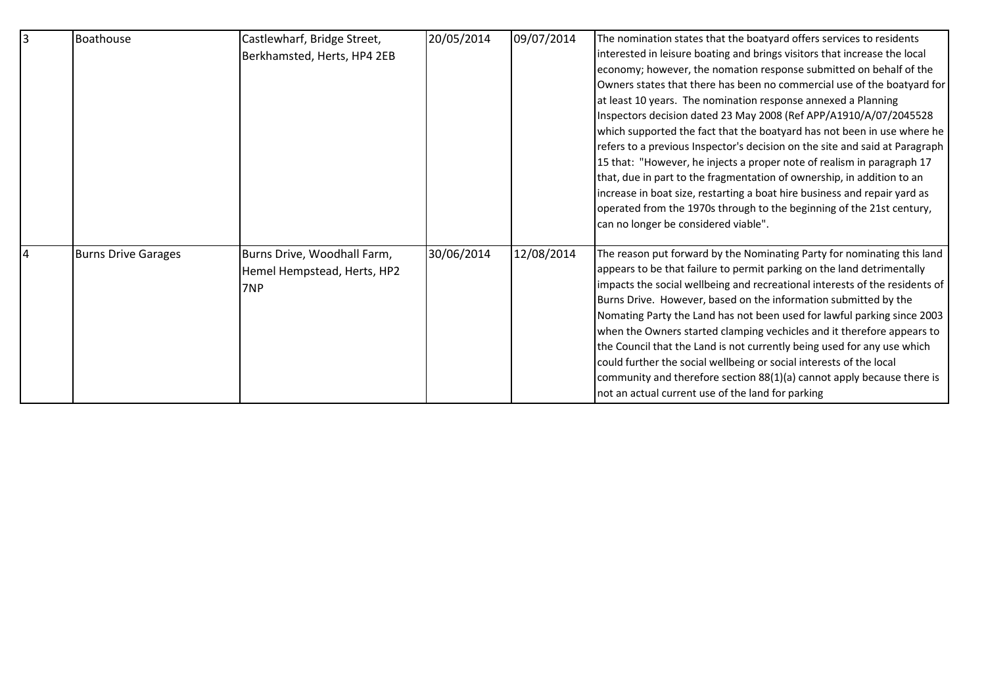| Boathouse                  | Castlewharf, Bridge Street, | 20/05/2014 | 09/07/2014 | The nomination states that the boatyard offers services to residents        |
|----------------------------|-----------------------------|------------|------------|-----------------------------------------------------------------------------|
|                            | Berkhamsted, Herts, HP4 2EB |            |            | interested in leisure boating and brings visitors that increase the local   |
|                            |                             |            |            | economy; however, the nomation response submitted on behalf of the          |
|                            |                             |            |            | Owners states that there has been no commercial use of the boatyard for     |
|                            |                             |            |            | at least 10 years. The nomination response annexed a Planning               |
|                            |                             |            |            | Inspectors decision dated 23 May 2008 (Ref APP/A1910/A/07/2045528           |
|                            |                             |            |            | which supported the fact that the boatyard has not been in use where he     |
|                            |                             |            |            | refers to a previous Inspector's decision on the site and said at Paragraph |
|                            |                             |            |            | 15 that: "However, he injects a proper note of realism in paragraph 17      |
|                            |                             |            |            | that, due in part to the fragmentation of ownership, in addition to an      |
|                            |                             |            |            | increase in boat size, restarting a boat hire business and repair yard as   |
|                            |                             |            |            | operated from the 1970s through to the beginning of the 21st century,       |
|                            |                             |            |            | can no longer be considered viable".                                        |
| <b>Burns Drive Garages</b> | Burns Drive, Woodhall Farm, | 30/06/2014 | 12/08/2014 | The reason put forward by the Nominating Party for nominating this land     |
|                            | Hemel Hempstead, Herts, HP2 |            |            | appears to be that failure to permit parking on the land detrimentally      |
|                            | 7NP                         |            |            | impacts the social wellbeing and recreational interests of the residents of |
|                            |                             |            |            | Burns Drive. However, based on the information submitted by the             |
|                            |                             |            |            | Nomating Party the Land has not been used for lawful parking since 2003     |
|                            |                             |            |            | when the Owners started clamping vechicles and it therefore appears to      |
|                            |                             |            |            | the Council that the Land is not currently being used for any use which     |
|                            |                             |            |            | could further the social wellbeing or social interests of the local         |
|                            |                             |            |            | community and therefore section 88(1)(a) cannot apply because there is      |
|                            |                             |            |            | not an actual current use of the land for parking                           |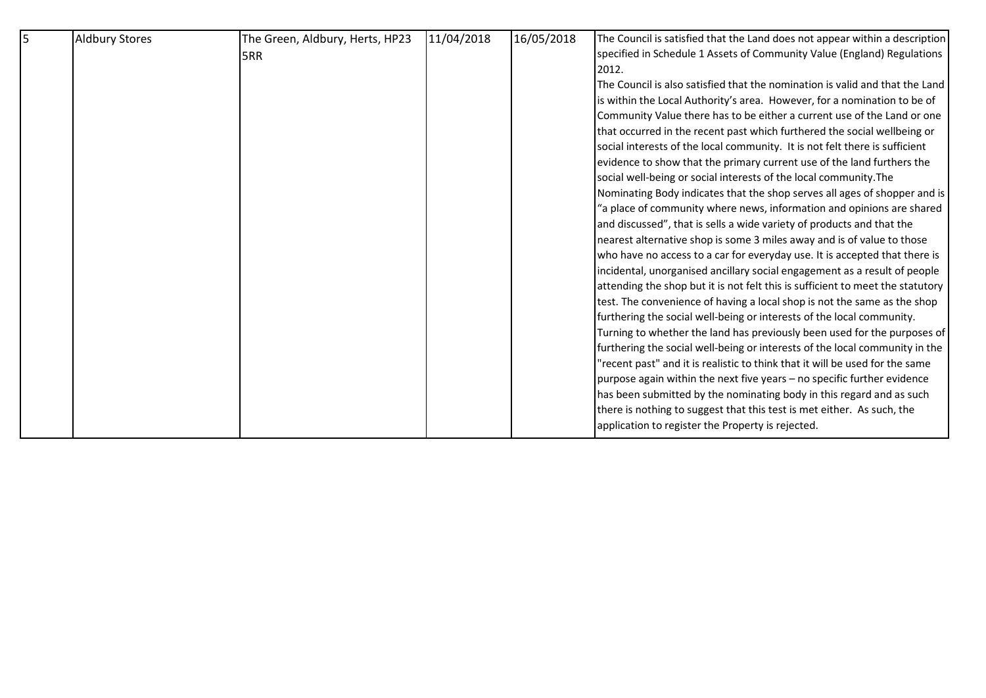| Aldbury Stores | The Green, Aldbury, Herts, HP23 | 11/04/2018 | 16/05/2018 | The Council is satisfied that the Land does not appear within a description    |
|----------------|---------------------------------|------------|------------|--------------------------------------------------------------------------------|
|                | <b>5RR</b>                      |            |            | specified in Schedule 1 Assets of Community Value (England) Regulations        |
|                |                                 |            |            | 2012.                                                                          |
|                |                                 |            |            | The Council is also satisfied that the nomination is valid and that the Land   |
|                |                                 |            |            | is within the Local Authority's area. However, for a nomination to be of       |
|                |                                 |            |            | Community Value there has to be either a current use of the Land or one        |
|                |                                 |            |            | that occurred in the recent past which furthered the social wellbeing or       |
|                |                                 |            |            | social interests of the local community. It is not felt there is sufficient    |
|                |                                 |            |            | evidence to show that the primary current use of the land furthers the         |
|                |                                 |            |            | social well-being or social interests of the local community. The              |
|                |                                 |            |            | Nominating Body indicates that the shop serves all ages of shopper and is      |
|                |                                 |            |            | "a place of community where news, information and opinions are shared          |
|                |                                 |            |            | and discussed", that is sells a wide variety of products and that the          |
|                |                                 |            |            | nearest alternative shop is some 3 miles away and is of value to those         |
|                |                                 |            |            | who have no access to a car for everyday use. It is accepted that there is     |
|                |                                 |            |            | incidental, unorganised ancillary social engagement as a result of people      |
|                |                                 |            |            | attending the shop but it is not felt this is sufficient to meet the statutory |
|                |                                 |            |            | test. The convenience of having a local shop is not the same as the shop       |
|                |                                 |            |            | furthering the social well-being or interests of the local community.          |
|                |                                 |            |            | Turning to whether the land has previously been used for the purposes of       |
|                |                                 |            |            | furthering the social well-being or interests of the local community in the    |
|                |                                 |            |            | "recent past" and it is realistic to think that it will be used for the same   |
|                |                                 |            |            | purpose again within the next five years - no specific further evidence        |
|                |                                 |            |            | has been submitted by the nominating body in this regard and as such           |
|                |                                 |            |            | there is nothing to suggest that this test is met either. As such, the         |
|                |                                 |            |            | application to register the Property is rejected.                              |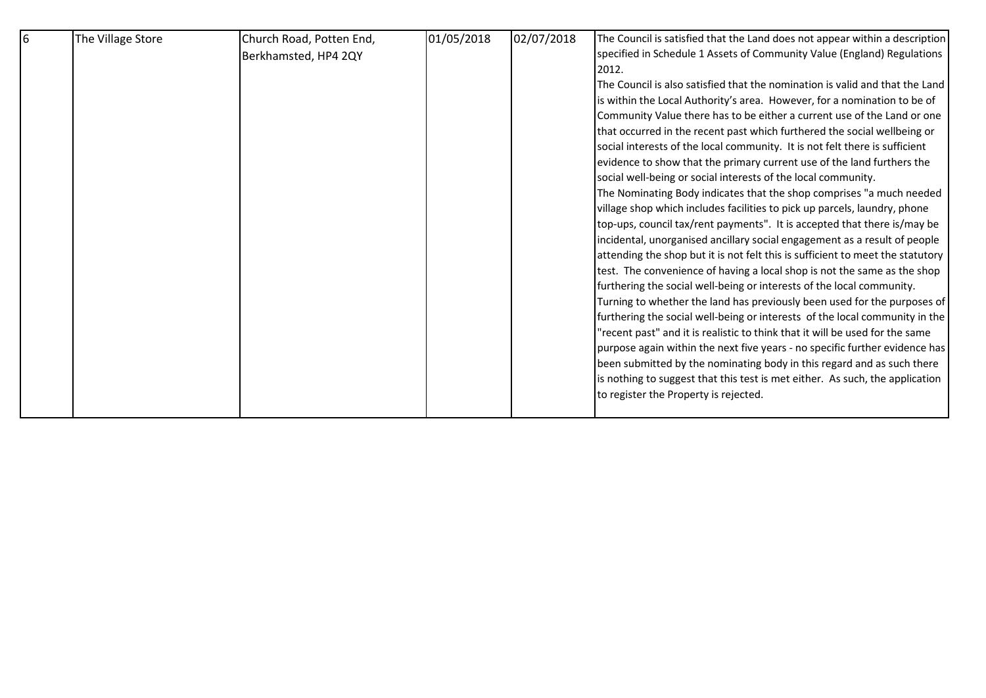| 6 | The Village Store | Church Road, Potten End, | 01/05/2018 | 02/07/2018 | The Council is satisfied that the Land does not appear within a description    |
|---|-------------------|--------------------------|------------|------------|--------------------------------------------------------------------------------|
|   |                   | Berkhamsted, HP4 2QY     |            |            | specified in Schedule 1 Assets of Community Value (England) Regulations        |
|   |                   |                          |            |            | 2012.                                                                          |
|   |                   |                          |            |            | The Council is also satisfied that the nomination is valid and that the Land   |
|   |                   |                          |            |            | is within the Local Authority's area. However, for a nomination to be of       |
|   |                   |                          |            |            | Community Value there has to be either a current use of the Land or one        |
|   |                   |                          |            |            | that occurred in the recent past which furthered the social wellbeing or       |
|   |                   |                          |            |            | social interests of the local community. It is not felt there is sufficient    |
|   |                   |                          |            |            | evidence to show that the primary current use of the land furthers the         |
|   |                   |                          |            |            | social well-being or social interests of the local community.                  |
|   |                   |                          |            |            | The Nominating Body indicates that the shop comprises "a much needed           |
|   |                   |                          |            |            | village shop which includes facilities to pick up parcels, laundry, phone      |
|   |                   |                          |            |            | top-ups, council tax/rent payments". It is accepted that there is/may be       |
|   |                   |                          |            |            | incidental, unorganised ancillary social engagement as a result of people      |
|   |                   |                          |            |            | attending the shop but it is not felt this is sufficient to meet the statutory |
|   |                   |                          |            |            | test. The convenience of having a local shop is not the same as the shop       |
|   |                   |                          |            |            | furthering the social well-being or interests of the local community.          |
|   |                   |                          |            |            | Turning to whether the land has previously been used for the purposes of       |
|   |                   |                          |            |            | furthering the social well-being or interests of the local community in the    |
|   |                   |                          |            |            | "recent past" and it is realistic to think that it will be used for the same   |
|   |                   |                          |            |            | purpose again within the next five years - no specific further evidence has    |
|   |                   |                          |            |            | been submitted by the nominating body in this regard and as such there         |
|   |                   |                          |            |            | is nothing to suggest that this test is met either. As such, the application   |
|   |                   |                          |            |            | to register the Property is rejected.                                          |
|   |                   |                          |            |            |                                                                                |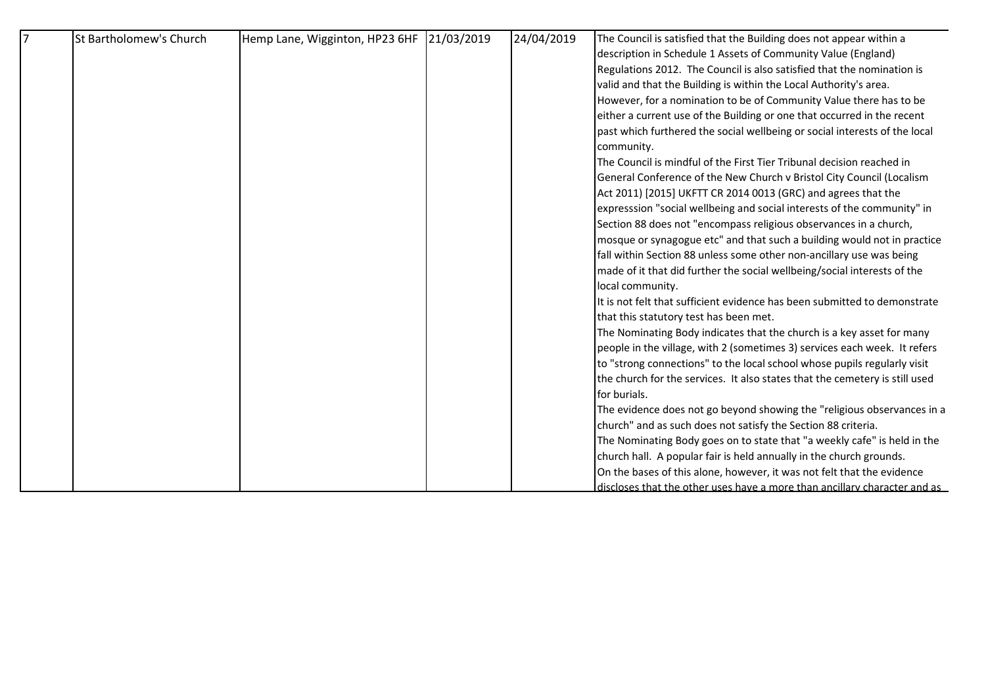| $\overline{7}$ | St Bartholomew's Church | Hemp Lane, Wigginton, HP23 6HF 21/03/2019 | 24/04/2019 | The Council is satisfied that the Building does not appear within a         |
|----------------|-------------------------|-------------------------------------------|------------|-----------------------------------------------------------------------------|
|                |                         |                                           |            | description in Schedule 1 Assets of Community Value (England)               |
|                |                         |                                           |            | Regulations 2012. The Council is also satisfied that the nomination is      |
|                |                         |                                           |            | valid and that the Building is within the Local Authority's area.           |
|                |                         |                                           |            | However, for a nomination to be of Community Value there has to be          |
|                |                         |                                           |            | either a current use of the Building or one that occurred in the recent     |
|                |                         |                                           |            | past which furthered the social wellbeing or social interests of the local  |
|                |                         |                                           |            | community.                                                                  |
|                |                         |                                           |            | The Council is mindful of the First Tier Tribunal decision reached in       |
|                |                         |                                           |            | General Conference of the New Church v Bristol City Council (Localism       |
|                |                         |                                           |            | Act 2011) [2015] UKFTT CR 2014 0013 (GRC) and agrees that the               |
|                |                         |                                           |            | expresssion "social wellbeing and social interests of the community" in     |
|                |                         |                                           |            | Section 88 does not "encompass religious observances in a church,           |
|                |                         |                                           |            | mosque or synagogue etc" and that such a building would not in practice     |
|                |                         |                                           |            | fall within Section 88 unless some other non-ancillary use was being        |
|                |                         |                                           |            | made of it that did further the social wellbeing/social interests of the    |
|                |                         |                                           |            | local community.                                                            |
|                |                         |                                           |            | It is not felt that sufficient evidence has been submitted to demonstrate   |
|                |                         |                                           |            | that this statutory test has been met.                                      |
|                |                         |                                           |            | The Nominating Body indicates that the church is a key asset for many       |
|                |                         |                                           |            | people in the village, with 2 (sometimes 3) services each week. It refers   |
|                |                         |                                           |            | to "strong connections" to the local school whose pupils regularly visit    |
|                |                         |                                           |            | the church for the services. It also states that the cemetery is still used |
|                |                         |                                           |            | for burials.                                                                |
|                |                         |                                           |            | The evidence does not go beyond showing the "religious observances in a     |
|                |                         |                                           |            | church" and as such does not satisfy the Section 88 criteria.               |
|                |                         |                                           |            | The Nominating Body goes on to state that "a weekly cafe" is held in the    |
|                |                         |                                           |            | church hall. A popular fair is held annually in the church grounds.         |
|                |                         |                                           |            | On the bases of this alone, however, it was not felt that the evidence      |
|                |                         |                                           |            | discloses that the other uses have a more than ancillary character and as   |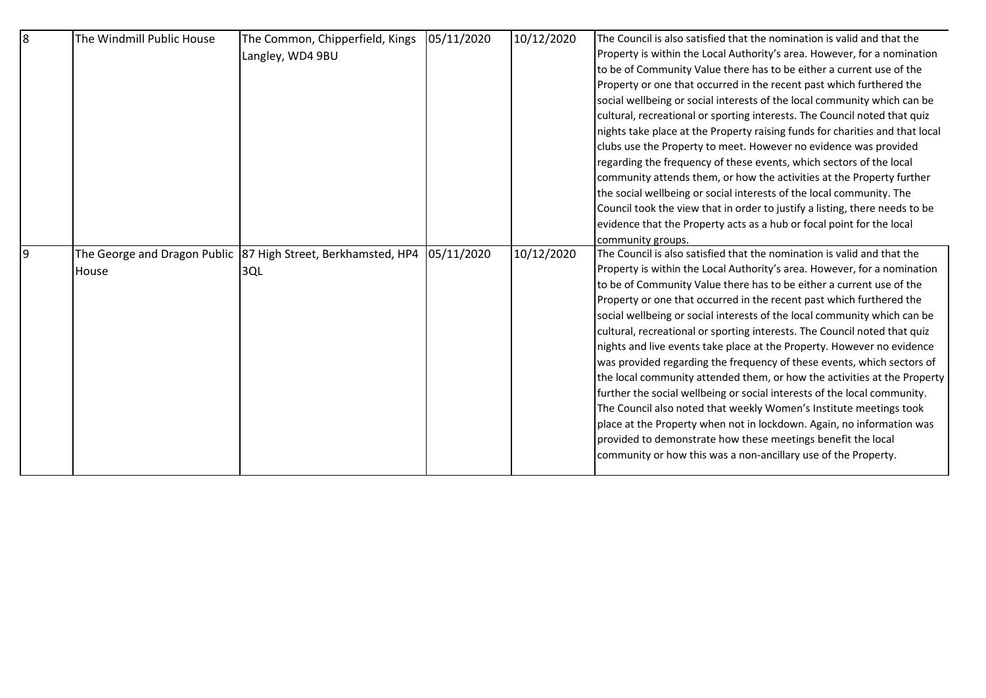| l8 | The Windmill Public House | The Common, Chipperfield, Kings                                 | 05/11/2020 | 10/12/2020 | The Council is also satisfied that the nomination is valid and that the      |
|----|---------------------------|-----------------------------------------------------------------|------------|------------|------------------------------------------------------------------------------|
|    |                           | Langley, WD4 9BU                                                |            |            | Property is within the Local Authority's area. However, for a nomination     |
|    |                           |                                                                 |            |            | to be of Community Value there has to be either a current use of the         |
|    |                           |                                                                 |            |            | Property or one that occurred in the recent past which furthered the         |
|    |                           |                                                                 |            |            | social wellbeing or social interests of the local community which can be     |
|    |                           |                                                                 |            |            | cultural, recreational or sporting interests. The Council noted that quiz    |
|    |                           |                                                                 |            |            | nights take place at the Property raising funds for charities and that local |
|    |                           |                                                                 |            |            | clubs use the Property to meet. However no evidence was provided             |
|    |                           |                                                                 |            |            | regarding the frequency of these events, which sectors of the local          |
|    |                           |                                                                 |            |            | community attends them, or how the activities at the Property further        |
|    |                           |                                                                 |            |            | the social wellbeing or social interests of the local community. The         |
|    |                           |                                                                 |            |            | Council took the view that in order to justify a listing, there needs to be  |
|    |                           |                                                                 |            |            | evidence that the Property acts as a hub or focal point for the local        |
|    |                           |                                                                 |            |            | community groups.                                                            |
| 9  |                           | The George and Dragon Public   87 High Street, Berkhamsted, HP4 | 05/11/2020 | 10/12/2020 | The Council is also satisfied that the nomination is valid and that the      |
|    | House                     | 3QL                                                             |            |            | Property is within the Local Authority's area. However, for a nomination     |
|    |                           |                                                                 |            |            | to be of Community Value there has to be either a current use of the         |
|    |                           |                                                                 |            |            | Property or one that occurred in the recent past which furthered the         |
|    |                           |                                                                 |            |            | social wellbeing or social interests of the local community which can be     |
|    |                           |                                                                 |            |            | cultural, recreational or sporting interests. The Council noted that quiz    |
|    |                           |                                                                 |            |            | nights and live events take place at the Property. However no evidence       |
|    |                           |                                                                 |            |            | was provided regarding the frequency of these events, which sectors of       |
|    |                           |                                                                 |            |            | the local community attended them, or how the activities at the Property     |
|    |                           |                                                                 |            |            | further the social wellbeing or social interests of the local community.     |
|    |                           |                                                                 |            |            | The Council also noted that weekly Women's Institute meetings took           |
|    |                           |                                                                 |            |            | place at the Property when not in lockdown. Again, no information was        |
|    |                           |                                                                 |            |            | provided to demonstrate how these meetings benefit the local                 |
|    |                           |                                                                 |            |            | community or how this was a non-ancillary use of the Property.               |
|    |                           |                                                                 |            |            |                                                                              |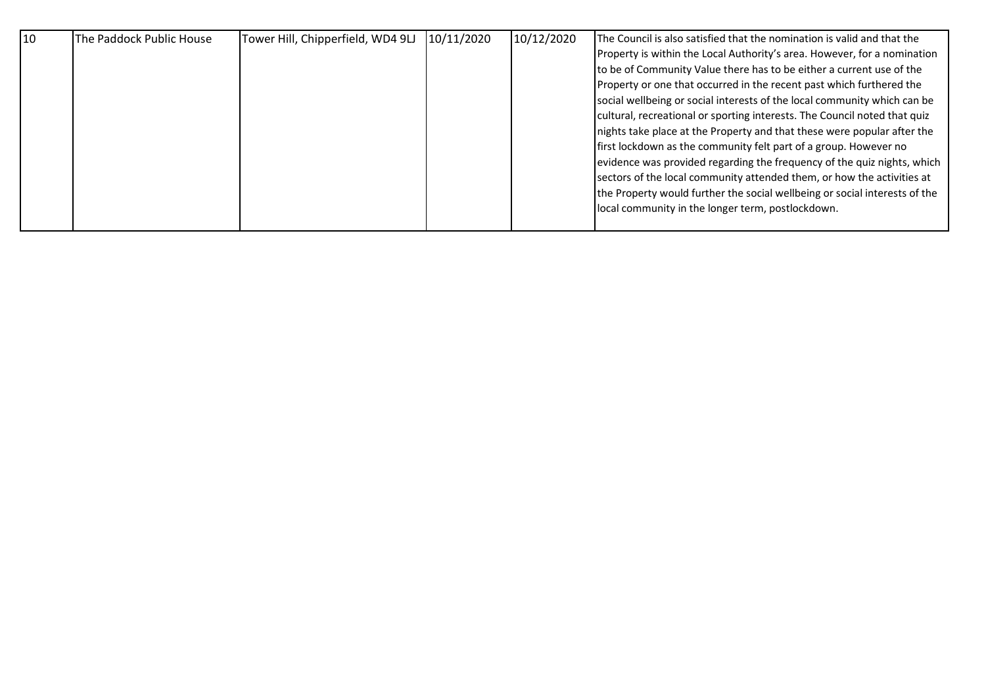| 10 <sup>10</sup><br>The Paddock Public House | Tower Hill, Chipperfield, WD4 9LJ | 10/11/2020 | 10/12/2020 | The Council is also satisfied that the nomination is valid and that the    |
|----------------------------------------------|-----------------------------------|------------|------------|----------------------------------------------------------------------------|
|                                              |                                   |            |            | Property is within the Local Authority's area. However, for a nomination   |
|                                              |                                   |            |            | to be of Community Value there has to be either a current use of the       |
|                                              |                                   |            |            | Property or one that occurred in the recent past which furthered the       |
|                                              |                                   |            |            | social wellbeing or social interests of the local community which can be   |
|                                              |                                   |            |            | cultural, recreational or sporting interests. The Council noted that quiz  |
|                                              |                                   |            |            | nights take place at the Property and that these were popular after the    |
|                                              |                                   |            |            | first lockdown as the community felt part of a group. However no           |
|                                              |                                   |            |            | evidence was provided regarding the frequency of the quiz nights, which    |
|                                              |                                   |            |            | sectors of the local community attended them, or how the activities at     |
|                                              |                                   |            |            | the Property would further the social wellbeing or social interests of the |
|                                              |                                   |            |            | local community in the longer term, postlockdown.                          |
|                                              |                                   |            |            |                                                                            |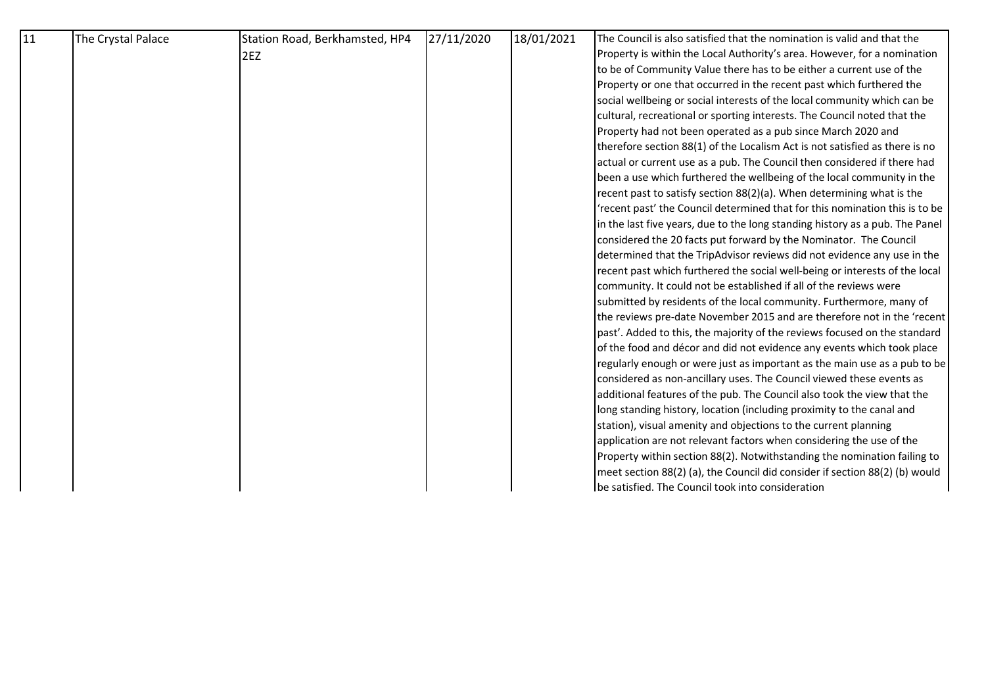| 11 | The Crystal Palace | Station Road, Berkhamsted, HP4 | 27/11/2020 | 18/01/2021 | The Council is also satisfied that the nomination is valid and that the      |
|----|--------------------|--------------------------------|------------|------------|------------------------------------------------------------------------------|
|    |                    | 2EZ                            |            |            | Property is within the Local Authority's area. However, for a nomination     |
|    |                    |                                |            |            | to be of Community Value there has to be either a current use of the         |
|    |                    |                                |            |            | Property or one that occurred in the recent past which furthered the         |
|    |                    |                                |            |            | social wellbeing or social interests of the local community which can be     |
|    |                    |                                |            |            | cultural, recreational or sporting interests. The Council noted that the     |
|    |                    |                                |            |            | Property had not been operated as a pub since March 2020 and                 |
|    |                    |                                |            |            | therefore section 88(1) of the Localism Act is not satisfied as there is no  |
|    |                    |                                |            |            | actual or current use as a pub. The Council then considered if there had     |
|    |                    |                                |            |            | been a use which furthered the wellbeing of the local community in the       |
|    |                    |                                |            |            | recent past to satisfy section 88(2)(a). When determining what is the        |
|    |                    |                                |            |            | 'recent past' the Council determined that for this nomination this is to be  |
|    |                    |                                |            |            | in the last five years, due to the long standing history as a pub. The Panel |
|    |                    |                                |            |            | considered the 20 facts put forward by the Nominator. The Council            |
|    |                    |                                |            |            | determined that the TripAdvisor reviews did not evidence any use in the      |
|    |                    |                                |            |            | recent past which furthered the social well-being or interests of the local  |
|    |                    |                                |            |            | community. It could not be established if all of the reviews were            |
|    |                    |                                |            |            | submitted by residents of the local community. Furthermore, many of          |
|    |                    |                                |            |            | the reviews pre-date November 2015 and are therefore not in the 'recent      |
|    |                    |                                |            |            | past'. Added to this, the majority of the reviews focused on the standard    |
|    |                    |                                |            |            | of the food and décor and did not evidence any events which took place       |
|    |                    |                                |            |            | regularly enough or were just as important as the main use as a pub to be    |
|    |                    |                                |            |            | considered as non-ancillary uses. The Council viewed these events as         |
|    |                    |                                |            |            | additional features of the pub. The Council also took the view that the      |
|    |                    |                                |            |            | long standing history, location (including proximity to the canal and        |
|    |                    |                                |            |            | station), visual amenity and objections to the current planning              |
|    |                    |                                |            |            | application are not relevant factors when considering the use of the         |
|    |                    |                                |            |            | Property within section 88(2). Notwithstanding the nomination failing to     |
|    |                    |                                |            |            | meet section 88(2) (a), the Council did consider if section 88(2) (b) would  |
|    |                    |                                |            |            | be satisfied. The Council took into consideration                            |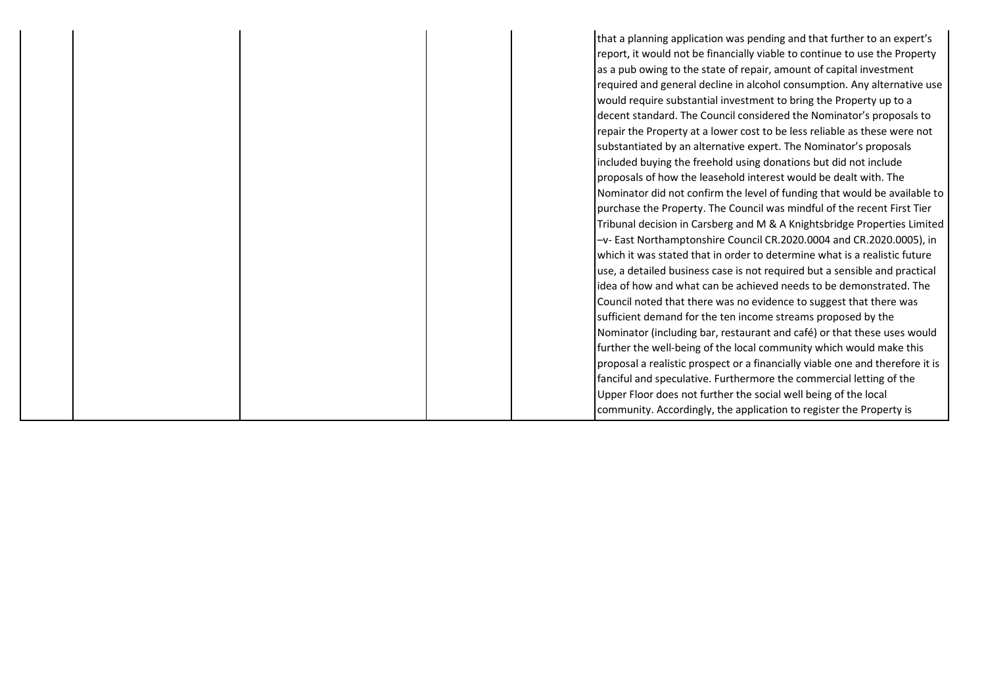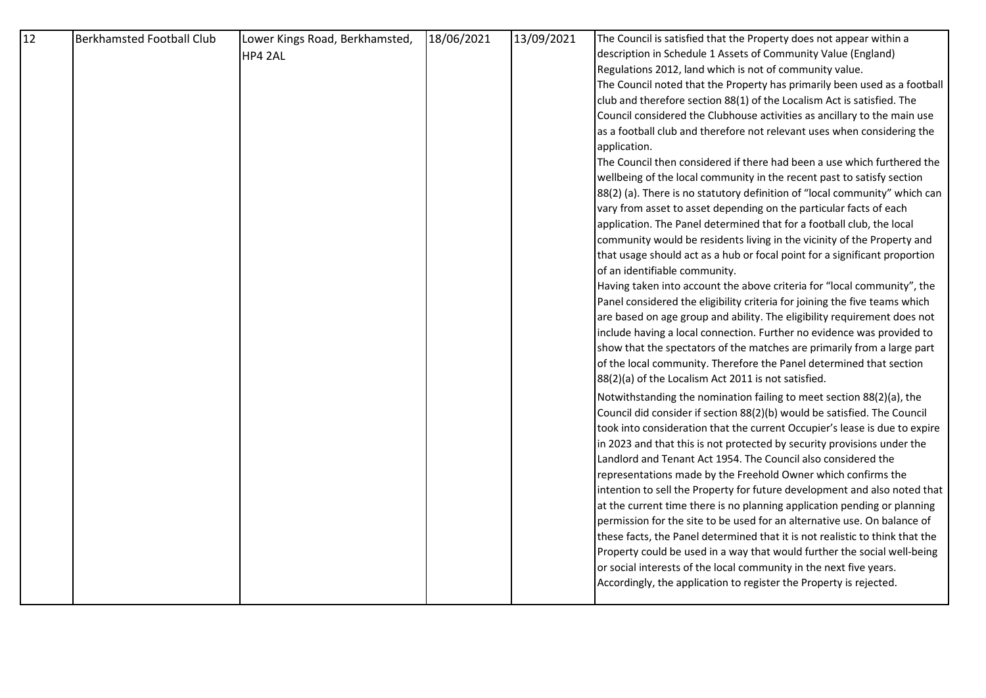| 12 | <b>Berkhamsted Football Club</b> | Lower Kings Road, Berkhamsted, | 18/06/2021 | 13/09/2021 | The Council is satisfied that the Property does not appear within a          |
|----|----------------------------------|--------------------------------|------------|------------|------------------------------------------------------------------------------|
|    |                                  | HP4 2AL                        |            |            | description in Schedule 1 Assets of Community Value (England)                |
|    |                                  |                                |            |            | Regulations 2012, land which is not of community value.                      |
|    |                                  |                                |            |            | The Council noted that the Property has primarily been used as a football    |
|    |                                  |                                |            |            | club and therefore section 88(1) of the Localism Act is satisfied. The       |
|    |                                  |                                |            |            | Council considered the Clubhouse activities as ancillary to the main use     |
|    |                                  |                                |            |            | as a football club and therefore not relevant uses when considering the      |
|    |                                  |                                |            |            | application.                                                                 |
|    |                                  |                                |            |            | The Council then considered if there had been a use which furthered the      |
|    |                                  |                                |            |            | wellbeing of the local community in the recent past to satisfy section       |
|    |                                  |                                |            |            | 88(2) (a). There is no statutory definition of "local community" which can   |
|    |                                  |                                |            |            | vary from asset to asset depending on the particular facts of each           |
|    |                                  |                                |            |            | application. The Panel determined that for a football club, the local        |
|    |                                  |                                |            |            | community would be residents living in the vicinity of the Property and      |
|    |                                  |                                |            |            | that usage should act as a hub or focal point for a significant proportion   |
|    |                                  |                                |            |            | of an identifiable community.                                                |
|    |                                  |                                |            |            | Having taken into account the above criteria for "local community", the      |
|    |                                  |                                |            |            | Panel considered the eligibility criteria for joining the five teams which   |
|    |                                  |                                |            |            | are based on age group and ability. The eligibility requirement does not     |
|    |                                  |                                |            |            | include having a local connection. Further no evidence was provided to       |
|    |                                  |                                |            |            | show that the spectators of the matches are primarily from a large part      |
|    |                                  |                                |            |            | of the local community. Therefore the Panel determined that section          |
|    |                                  |                                |            |            | 88(2)(a) of the Localism Act 2011 is not satisfied.                          |
|    |                                  |                                |            |            | Notwithstanding the nomination failing to meet section 88(2)(a), the         |
|    |                                  |                                |            |            | Council did consider if section 88(2)(b) would be satisfied. The Council     |
|    |                                  |                                |            |            | took into consideration that the current Occupier's lease is due to expire   |
|    |                                  |                                |            |            | in 2023 and that this is not protected by security provisions under the      |
|    |                                  |                                |            |            | Landlord and Tenant Act 1954. The Council also considered the                |
|    |                                  |                                |            |            | representations made by the Freehold Owner which confirms the                |
|    |                                  |                                |            |            | intention to sell the Property for future development and also noted that    |
|    |                                  |                                |            |            | at the current time there is no planning application pending or planning     |
|    |                                  |                                |            |            | permission for the site to be used for an alternative use. On balance of     |
|    |                                  |                                |            |            | these facts, the Panel determined that it is not realistic to think that the |
|    |                                  |                                |            |            | Property could be used in a way that would further the social well-being     |
|    |                                  |                                |            |            | or social interests of the local community in the next five years.           |
|    |                                  |                                |            |            | Accordingly, the application to register the Property is rejected.           |
|    |                                  |                                |            |            |                                                                              |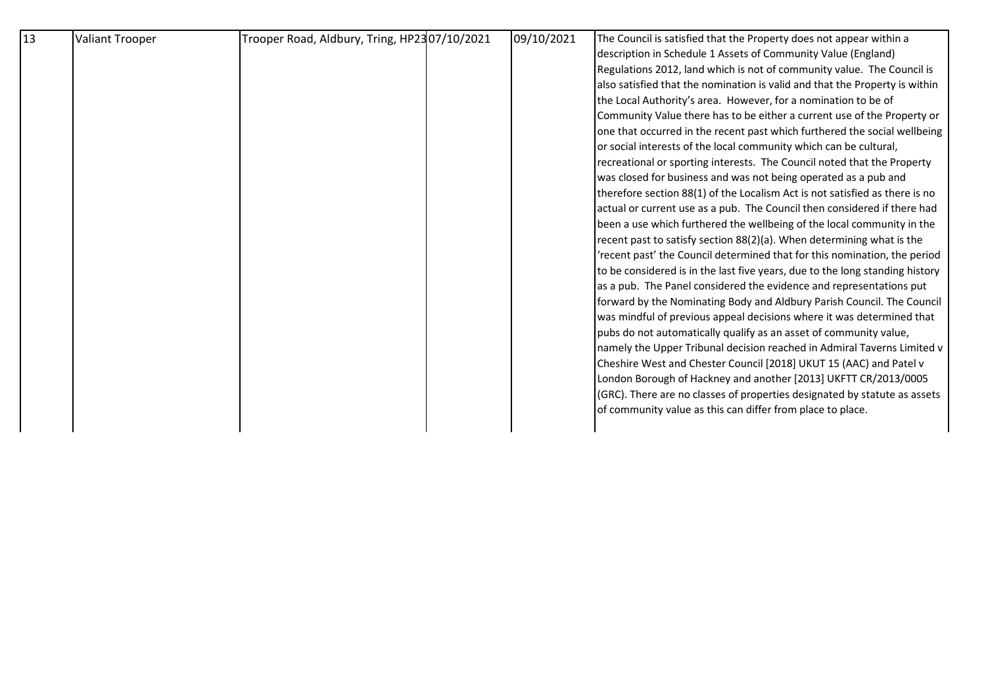| 13 | <b>Valiant Trooper</b> | Trooper Road, Aldbury, Tring, HP2307/10/2021 | 09/10/2021 | The Council is satisfied that the Property does not appear within a          |
|----|------------------------|----------------------------------------------|------------|------------------------------------------------------------------------------|
|    |                        |                                              |            | description in Schedule 1 Assets of Community Value (England)                |
|    |                        |                                              |            | Regulations 2012, land which is not of community value. The Council is       |
|    |                        |                                              |            | also satisfied that the nomination is valid and that the Property is within  |
|    |                        |                                              |            | the Local Authority's area. However, for a nomination to be of               |
|    |                        |                                              |            | Community Value there has to be either a current use of the Property or      |
|    |                        |                                              |            | one that occurred in the recent past which furthered the social wellbeing    |
|    |                        |                                              |            | or social interests of the local community which can be cultural,            |
|    |                        |                                              |            | recreational or sporting interests. The Council noted that the Property      |
|    |                        |                                              |            | was closed for business and was not being operated as a pub and              |
|    |                        |                                              |            | therefore section 88(1) of the Localism Act is not satisfied as there is no  |
|    |                        |                                              |            | actual or current use as a pub. The Council then considered if there had     |
|    |                        |                                              |            | been a use which furthered the wellbeing of the local community in the       |
|    |                        |                                              |            | recent past to satisfy section 88(2)(a). When determining what is the        |
|    |                        |                                              |            | 'recent past' the Council determined that for this nomination, the period    |
|    |                        |                                              |            | to be considered is in the last five years, due to the long standing history |
|    |                        |                                              |            | as a pub. The Panel considered the evidence and representations put          |
|    |                        |                                              |            | forward by the Nominating Body and Aldbury Parish Council. The Council       |
|    |                        |                                              |            | was mindful of previous appeal decisions where it was determined that        |
|    |                        |                                              |            | pubs do not automatically qualify as an asset of community value,            |
|    |                        |                                              |            | namely the Upper Tribunal decision reached in Admiral Taverns Limited v      |
|    |                        |                                              |            | Cheshire West and Chester Council [2018] UKUT 15 (AAC) and Patel v           |
|    |                        |                                              |            | London Borough of Hackney and another [2013] UKFTT CR/2013/0005              |
|    |                        |                                              |            | (GRC). There are no classes of properties designated by statute as assets    |
|    |                        |                                              |            | of community value as this can differ from place to place.                   |
|    |                        |                                              |            |                                                                              |
|    |                        |                                              |            |                                                                              |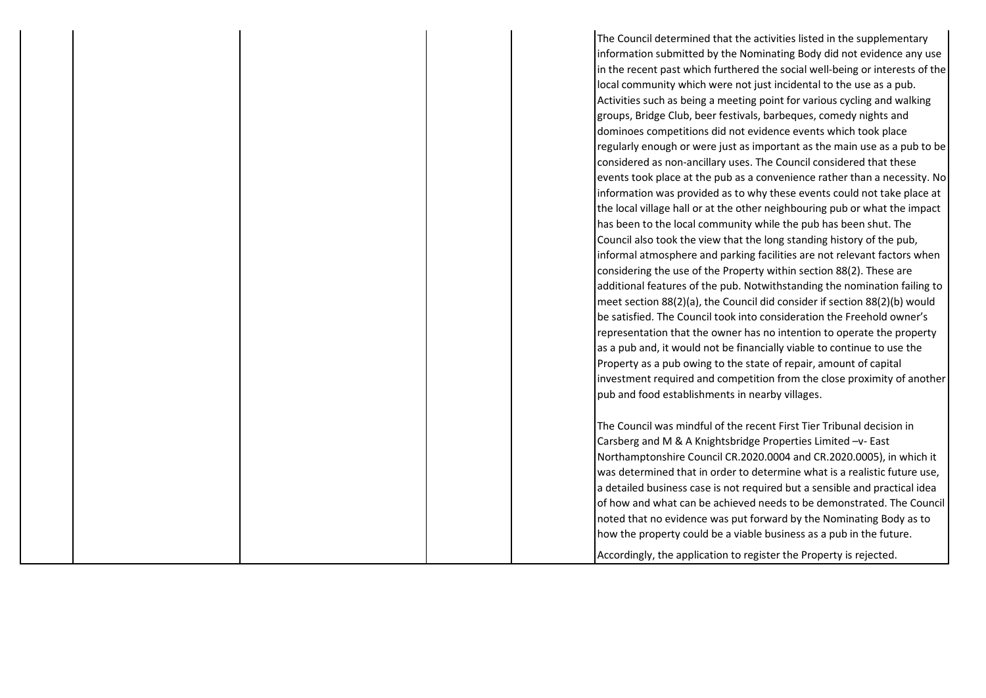The Council determined that the activities listed in the supplementary information submitted by the Nominating Body did not evidence any use in the recent past which furthered the social well-being or interests of the local community which were not just incidental to the use as a pub. Activities such as being a meeting point for various cycling and walking groups, Bridge Club, beer festivals, barbeques, comedy nights and dominoes competitions did not evidence events which took place regularly enough or were just as important as the main use as a pub to be considered as non-ancillary uses. The Council considered that these events took place at the pub as a convenience rather than a necessity. No information was provided as to why these events could not take place at the local village hall or at the other neighbouring pub or what the impact has been to the local community while the pub has been shut. The Council also took the view that the long standing history of the pub, informal atmosphere and parking facilities are not relevant factors when considering the use of the Property within section 88(2). These are additional features of the pub. Notwithstanding the nomination failing to meet section 88(2)(a), the Council did consider if section 88(2)(b) would be satisfied. The Council took into consideration the Freehold owner's representation that the owner has no intention to operate the property as a pub and, it would not be financially viable to continue to use the Property as a pub owing to the state of repair, amount of capital investment required and competition from the close proximity of another pub and food establishments in nearby villages.

The Council was mindful of the recent First Tier Tribunal decision in Carsberg and M & A Knightsbridge Properties Limited –v- East Northamptonshire Council CR.2020.0004 and CR.2020.0005), in which it was determined that in order to determine what is a realistic future use, a detailed business case is not required but a sensible and practical idea of how and what can be achieved needs to be demonstrated. The Council noted that no evidence was put forward by the Nominating Body as to how the property could be a viable business as a pub in the future.

Accordingly, the application to register the Property is rejected.